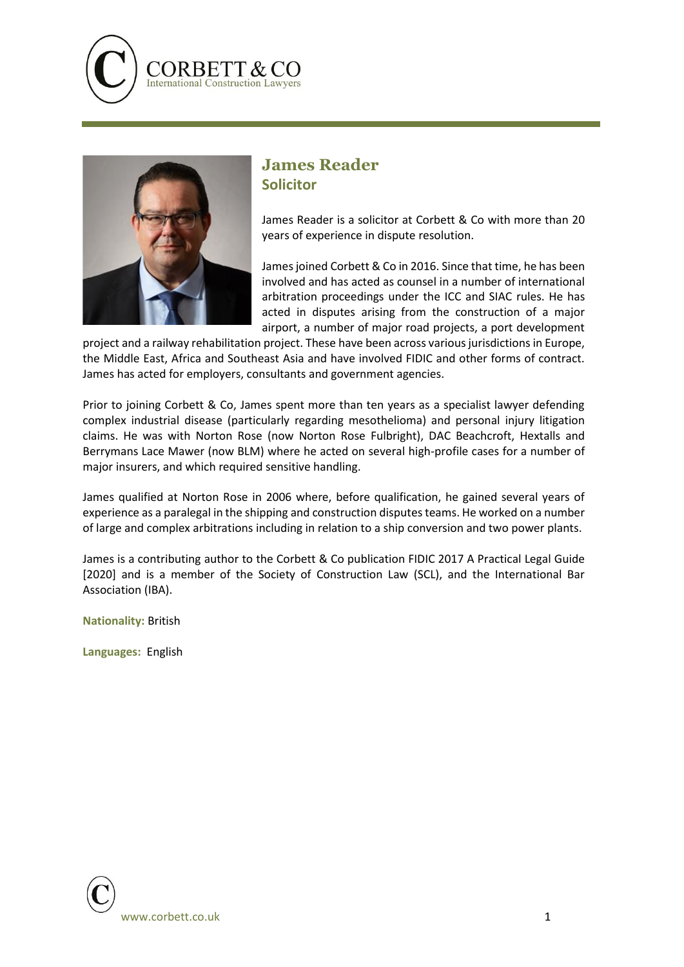



## **James Reader Solicitor**

James Reader is a solicitor at Corbett & Co with more than 20 years of experience in dispute resolution.

James joined Corbett & Co in 2016. Since that time, he has been involved and has acted as counsel in a number of international arbitration proceedings under the ICC and SIAC rules. He has acted in disputes arising from the construction of a major airport, a number of major road projects, a port development

project and a railway rehabilitation project. These have been across various jurisdictions in Europe, the Middle East, Africa and Southeast Asia and have involved FIDIC and other forms of contract. James has acted for employers, consultants and government agencies.

Prior to joining Corbett & Co, James spent more than ten years as a specialist lawyer defending complex industrial disease (particularly regarding mesothelioma) and personal injury litigation claims. He was with Norton Rose (now Norton Rose Fulbright), DAC Beachcroft, Hextalls and Berrymans Lace Mawer (now BLM) where he acted on several high-profile cases for a number of major insurers, and which required sensitive handling.

James qualified at Norton Rose in 2006 where, before qualification, he gained several years of experience as a paralegal in the shipping and construction disputes teams. He worked on a number of large and complex arbitrations including in relation to a ship conversion and two power plants.

James is a contributing author to the Corbett & Co publication FIDIC 2017 A Practical Legal Guide [2020] and is a member of the Society of Construction Law (SCL), and the International Bar Association (IBA).

**Nationality:** British

**Languages:** English

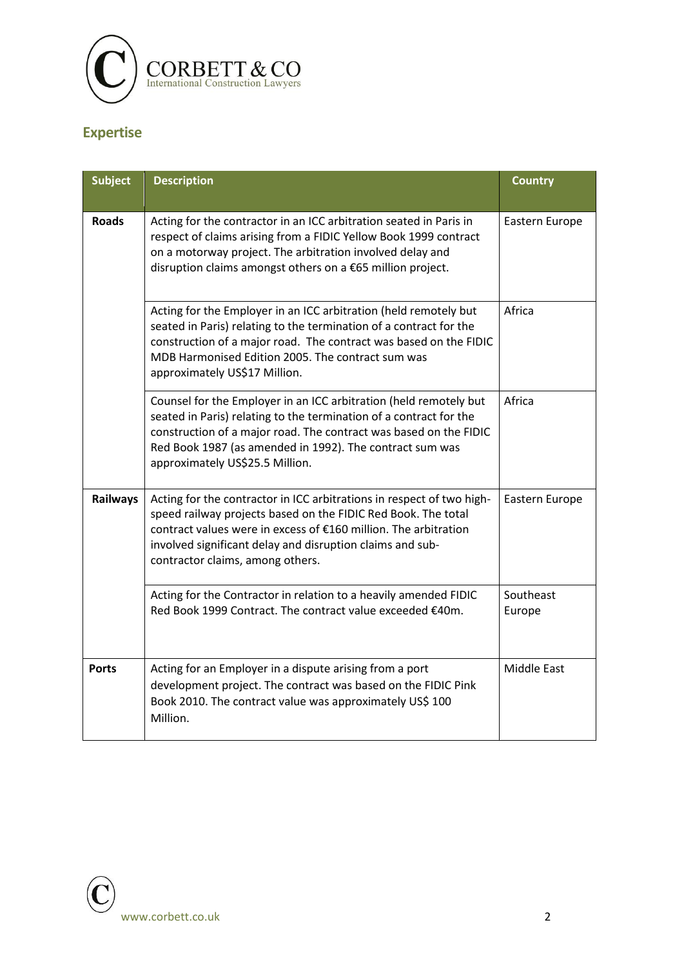

### **Expertise**

| <b>Subject</b>  | <b>Description</b>                                                                                                                                                                                                                                                                                          | <b>Country</b>      |
|-----------------|-------------------------------------------------------------------------------------------------------------------------------------------------------------------------------------------------------------------------------------------------------------------------------------------------------------|---------------------|
| <b>Roads</b>    | Acting for the contractor in an ICC arbitration seated in Paris in<br>respect of claims arising from a FIDIC Yellow Book 1999 contract<br>on a motorway project. The arbitration involved delay and<br>disruption claims amongst others on a €65 million project.                                           | Eastern Europe      |
|                 | Acting for the Employer in an ICC arbitration (held remotely but<br>seated in Paris) relating to the termination of a contract for the<br>construction of a major road. The contract was based on the FIDIC<br>MDB Harmonised Edition 2005. The contract sum was<br>approximately US\$17 Million.           | Africa              |
|                 | Counsel for the Employer in an ICC arbitration (held remotely but<br>seated in Paris) relating to the termination of a contract for the<br>construction of a major road. The contract was based on the FIDIC<br>Red Book 1987 (as amended in 1992). The contract sum was<br>approximately US\$25.5 Million. | Africa              |
| <b>Railways</b> | Acting for the contractor in ICC arbitrations in respect of two high-<br>speed railway projects based on the FIDIC Red Book. The total<br>contract values were in excess of €160 million. The arbitration<br>involved significant delay and disruption claims and sub-<br>contractor claims, among others.  | Eastern Europe      |
|                 | Acting for the Contractor in relation to a heavily amended FIDIC<br>Red Book 1999 Contract. The contract value exceeded €40m.                                                                                                                                                                               | Southeast<br>Europe |
| <b>Ports</b>    | Acting for an Employer in a dispute arising from a port<br>development project. The contract was based on the FIDIC Pink<br>Book 2010. The contract value was approximately US\$ 100<br>Million.                                                                                                            | Middle East         |

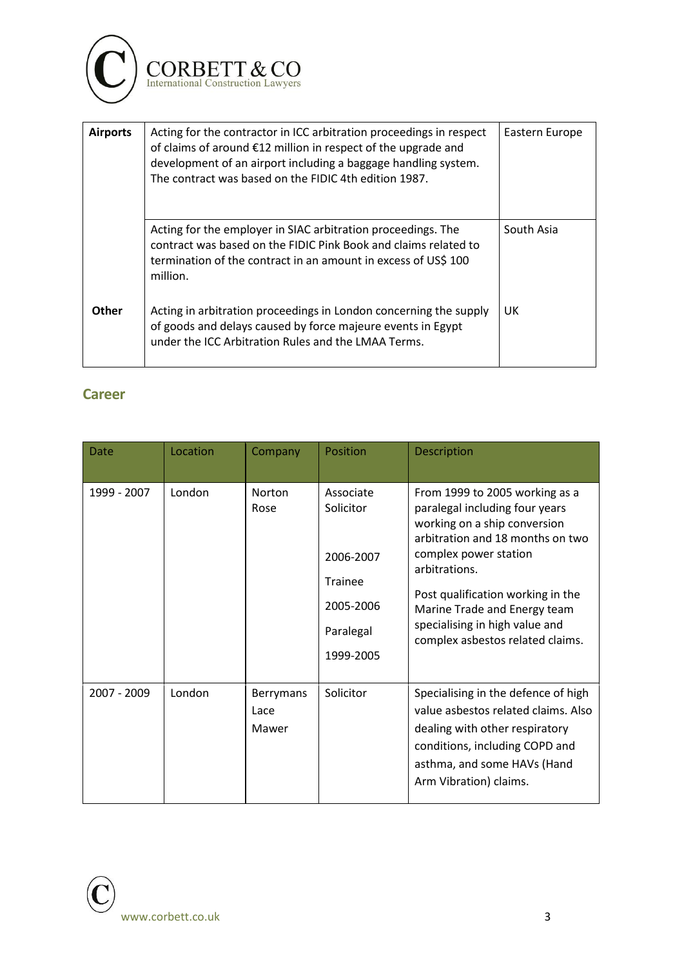

| <b>Airports</b> | Acting for the contractor in ICC arbitration proceedings in respect<br>of claims of around €12 million in respect of the upgrade and<br>development of an airport including a baggage handling system.<br>The contract was based on the FIDIC 4th edition 1987. | Eastern Europe |
|-----------------|-----------------------------------------------------------------------------------------------------------------------------------------------------------------------------------------------------------------------------------------------------------------|----------------|
|                 | Acting for the employer in SIAC arbitration proceedings. The<br>contract was based on the FIDIC Pink Book and claims related to<br>termination of the contract in an amount in excess of US\$ 100<br>million.                                                   | South Asia     |
| <b>Other</b>    | Acting in arbitration proceedings in London concerning the supply<br>of goods and delays caused by force majeure events in Egypt<br>under the ICC Arbitration Rules and the LMAA Terms.                                                                         | UK             |

#### **Career**

| Date        | Location | Company                    | Position                                                                              | <b>Description</b>                                                                                                                                                                                                                                                                                                        |
|-------------|----------|----------------------------|---------------------------------------------------------------------------------------|---------------------------------------------------------------------------------------------------------------------------------------------------------------------------------------------------------------------------------------------------------------------------------------------------------------------------|
| 1999 - 2007 | London   | Norton<br>Rose             | Associate<br>Solicitor<br>2006-2007<br>Trainee<br>2005-2006<br>Paralegal<br>1999-2005 | From 1999 to 2005 working as a<br>paralegal including four years<br>working on a ship conversion<br>arbitration and 18 months on two<br>complex power station<br>arbitrations.<br>Post qualification working in the<br>Marine Trade and Energy team<br>specialising in high value and<br>complex asbestos related claims. |
| 2007 - 2009 | London   | Berrymans<br>Lace<br>Mawer | Solicitor                                                                             | Specialising in the defence of high<br>value asbestos related claims. Also<br>dealing with other respiratory<br>conditions, including COPD and<br>asthma, and some HAVs (Hand<br>Arm Vibration) claims.                                                                                                                   |

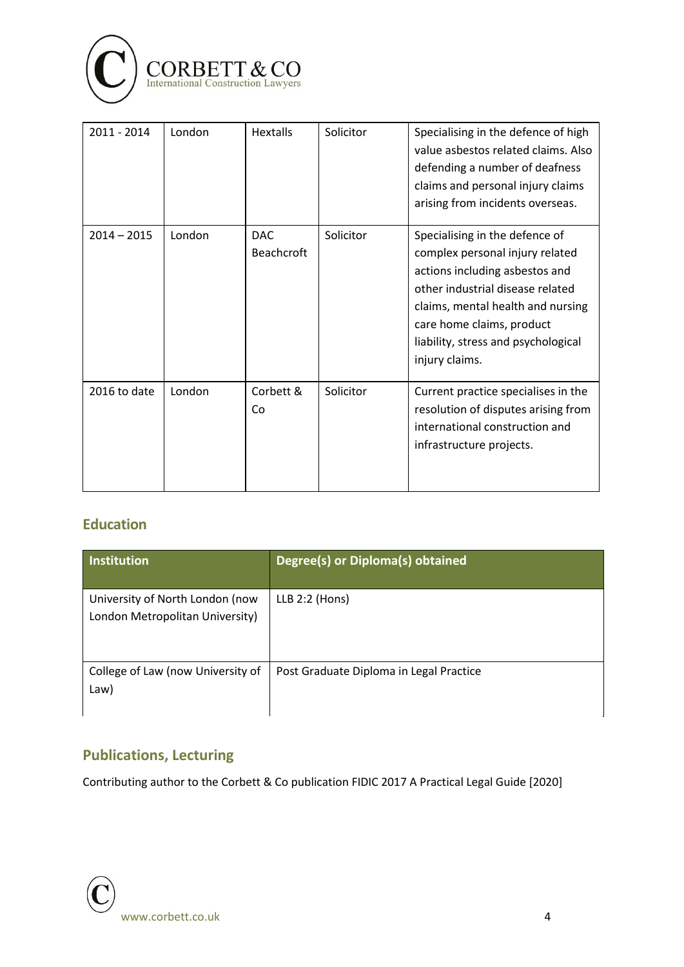

| 2011 - 2014   | London | <b>Hextalls</b>                 | Solicitor | Specialising in the defence of high<br>value asbestos related claims. Also<br>defending a number of deafness<br>claims and personal injury claims<br>arising from incidents overseas.                                                                              |
|---------------|--------|---------------------------------|-----------|--------------------------------------------------------------------------------------------------------------------------------------------------------------------------------------------------------------------------------------------------------------------|
| $2014 - 2015$ | London | <b>DAC</b><br><b>Beachcroft</b> | Solicitor | Specialising in the defence of<br>complex personal injury related<br>actions including asbestos and<br>other industrial disease related<br>claims, mental health and nursing<br>care home claims, product<br>liability, stress and psychological<br>injury claims. |
| 2016 to date  | London | Corbett &<br>Co                 | Solicitor | Current practice specialises in the<br>resolution of disputes arising from<br>international construction and<br>infrastructure projects.                                                                                                                           |

### **Education**

| <b>Institution</b>                                                 | Degree(s) or Diploma(s) obtained        |
|--------------------------------------------------------------------|-----------------------------------------|
| University of North London (now<br>London Metropolitan University) | LLB 2:2 (Hons)                          |
| College of Law (now University of<br>Law)                          | Post Graduate Diploma in Legal Practice |

### **Publications, Lecturing**

Contributing author to the Corbett & Co publication FIDIC 2017 A Practical Legal Guide [2020]